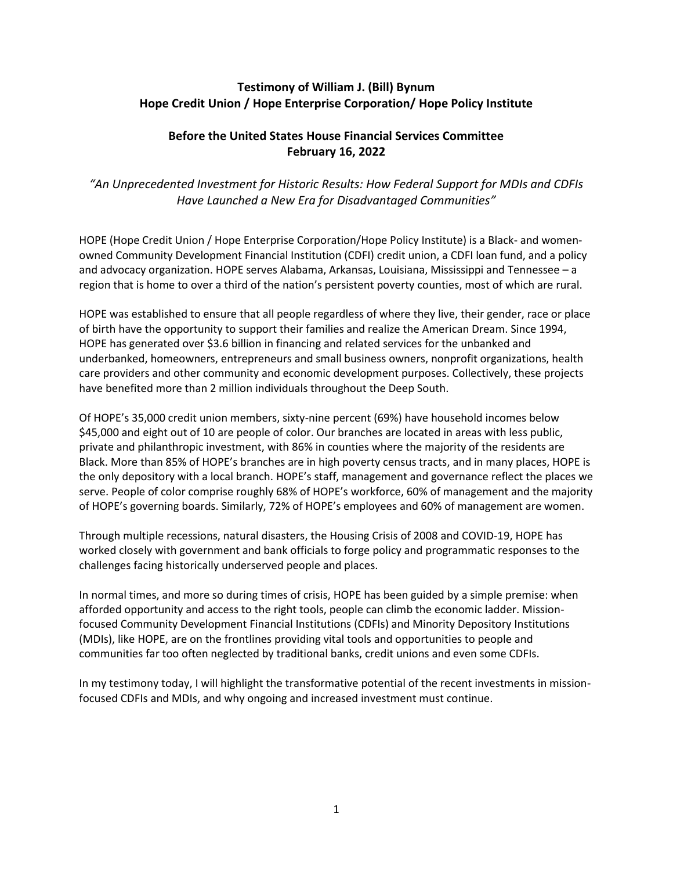# **Testimony of William J. (Bill) Bynum Hope Credit Union / Hope Enterprise Corporation/ Hope Policy Institute**

# **Before the United States House Financial Services Committee February 16, 2022**

*"An Unprecedented Investment for Historic Results: How Federal Support for MDIs and CDFIs Have Launched a New Era for Disadvantaged Communities"*

HOPE (Hope Credit Union / Hope Enterprise Corporation/Hope Policy Institute) is a Black- and womenowned Community Development Financial Institution (CDFI) credit union, a CDFI loan fund, and a policy and advocacy organization. HOPE serves Alabama, Arkansas, Louisiana, Mississippi and Tennessee – a region that is home to over a third of the nation's persistent poverty counties, most of which are rural.

HOPE was established to ensure that all people regardless of where they live, their gender, race or place of birth have the opportunity to support their families and realize the American Dream. Since 1994, HOPE has generated over \$3.6 billion in financing and related services for the unbanked and underbanked, homeowners, entrepreneurs and small business owners, nonprofit organizations, health care providers and other community and economic development purposes. Collectively, these projects have benefited more than 2 million individuals throughout the Deep South.

Of HOPE's 35,000 credit union members, sixty-nine percent (69%) have household incomes below \$45,000 and eight out of 10 are people of color. Our branches are located in areas with less public, private and philanthropic investment, with 86% in counties where the majority of the residents are Black. More than 85% of HOPE's branches are in high poverty census tracts, and in many places, HOPE is the only depository with a local branch. HOPE's staff, management and governance reflect the places we serve. People of color comprise roughly 68% of HOPE's workforce, 60% of management and the majority of HOPE's governing boards. Similarly, 72% of HOPE's employees and 60% of management are women.

Through multiple recessions, natural disasters, the Housing Crisis of 2008 and COVID-19, HOPE has worked closely with government and bank officials to forge policy and programmatic responses to the challenges facing historically underserved people and places.

In normal times, and more so during times of crisis, HOPE has been guided by a simple premise: when afforded opportunity and access to the right tools, people can climb the economic ladder. Missionfocused Community Development Financial Institutions (CDFIs) and Minority Depository Institutions (MDIs), like HOPE, are on the frontlines providing vital tools and opportunities to people and communities far too often neglected by traditional banks, credit unions and even some CDFIs.

In my testimony today, I will highlight the transformative potential of the recent investments in missionfocused CDFIs and MDIs, and why ongoing and increased investment must continue.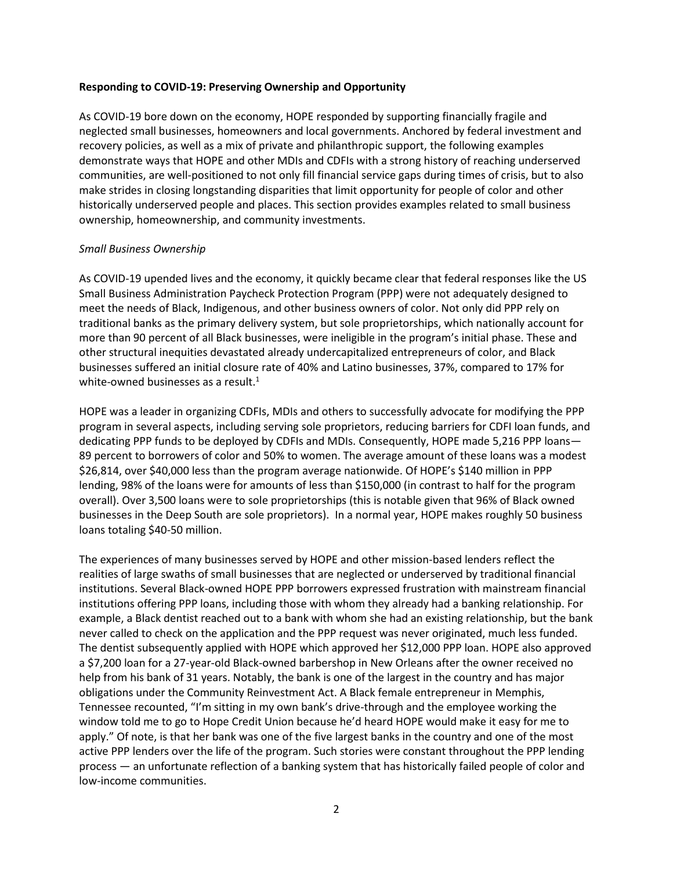#### **Responding to COVID-19: Preserving Ownership and Opportunity**

As COVID-19 bore down on the economy, HOPE responded by supporting financially fragile and neglected small businesses, homeowners and local governments. Anchored by federal investment and recovery policies, as well as a mix of private and philanthropic support, the following examples demonstrate ways that HOPE and other MDIs and CDFIs with a strong history of reaching underserved communities, are well-positioned to not only fill financial service gaps during times of crisis, but to also make strides in closing longstanding disparities that limit opportunity for people of color and other historically underserved people and places. This section provides examples related to small business ownership, homeownership, and community investments.

#### *Small Business Ownership*

As COVID-19 upended lives and the economy, it quickly became clear that federal responses like the US Small Business Administration Paycheck Protection Program (PPP) were not adequately designed to meet the needs of Black, Indigenous, and other business owners of color. Not only did PPP rely on traditional banks as the primary delivery system, but sole proprietorships, which nationally account for more than 90 percent of all Black businesses, were ineligible in the program's initial phase. These and other structural inequities devastated already undercapitalized entrepreneurs of color, and Black businesses suffered an initial closure rate of 40% and Latino businesses, 37%, compared to 17% for white-owned businesses as a result.<sup>1</sup>

HOPE was a leader in organizing CDFIs, MDIs and others to successfully advocate for modifying the PPP program in several aspects, including serving sole proprietors, reducing barriers for CDFI loan funds, and dedicating PPP funds to be deployed by CDFIs and MDIs. Consequently, HOPE made 5,216 PPP loans— 89 percent to borrowers of color and 50% to women. The average amount of these loans was a modest \$26,814, over \$40,000 less than the program average nationwide. Of HOPE's \$140 million in PPP lending, 98% of the loans were for amounts of less than \$150,000 (in contrast to half for the program overall). Over 3,500 loans were to sole proprietorships (this is notable given that 96% of Black owned businesses in the Deep South are sole proprietors). In a normal year, HOPE makes roughly 50 business loans totaling \$40-50 million.

The experiences of many businesses served by HOPE and other mission-based lenders reflect the realities of large swaths of small businesses that are neglected or underserved by traditional financial institutions. Several Black-owned HOPE PPP borrowers expressed frustration with mainstream financial institutions offering PPP loans, including those with whom they already had a banking relationship. For example, a Black dentist reached out to a bank with whom she had an existing relationship, but the bank never called to check on the application and the PPP request was never originated, much less funded. The dentist subsequently applied with HOPE which approved her \$12,000 PPP loan. HOPE also approved a \$7,200 loan for a 27-year-old Black-owned barbershop in New Orleans after the owner received no help from his bank of 31 years. Notably, the bank is one of the largest in the country and has major obligations under the Community Reinvestment Act. A Black female entrepreneur in Memphis, Tennessee recounted, "I'm sitting in my own bank's drive-through and the employee working the window told me to go to Hope Credit Union because he'd heard HOPE would make it easy for me to apply." Of note, is that her bank was one of the five largest banks in the country and one of the most active PPP lenders over the life of the program. Such stories were constant throughout the PPP lending process — an unfortunate reflection of a banking system that has historically failed people of color and low-income communities.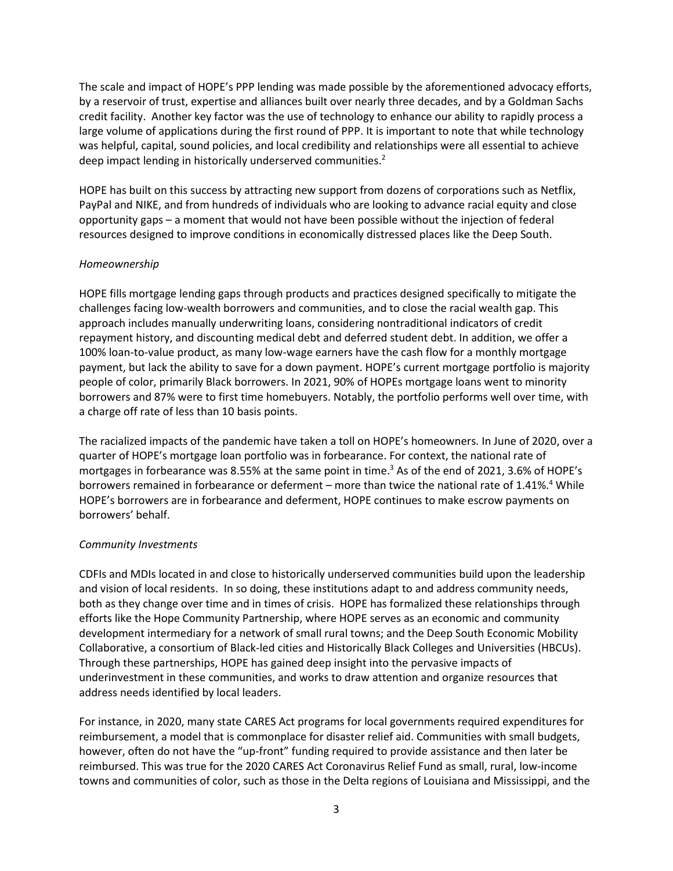The scale and impact of HOPE's PPP lending was made possible by the aforementioned advocacy efforts, by a reservoir of trust, expertise and alliances built over nearly three decades, and by a Goldman Sachs credit facility. Another key factor was the use of technology to enhance our ability to rapidly process a large volume of applications during the first round of PPP. It is important to note that while technology was helpful, capital, sound policies, and local credibility and relationships were all essential to achieve deep impact lending in historically underserved communities.<sup>2</sup>

HOPE has built on this success by attracting new support from dozens of corporations such as Netflix, PayPal and NIKE, and from hundreds of individuals who are looking to advance racial equity and close opportunity gaps – a moment that would not have been possible without the injection of federal resources designed to improve conditions in economically distressed places like the Deep South.

### *Homeownership*

HOPE fills mortgage lending gaps through products and practices designed specifically to mitigate the challenges facing low-wealth borrowers and communities, and to close the racial wealth gap. This approach includes manually underwriting loans, considering nontraditional indicators of credit repayment history, and discounting medical debt and deferred student debt. In addition, we offer a 100% loan-to-value product, as many low-wage earners have the cash flow for a monthly mortgage payment, but lack the ability to save for a down payment. HOPE's current mortgage portfolio is majority people of color, primarily Black borrowers. In 2021, 90% of HOPEs mortgage loans went to minority borrowers and 87% were to first time homebuyers. Notably, the portfolio performs well over time, with a charge off rate of less than 10 basis points.

The racialized impacts of the pandemic have taken a toll on HOPE's homeowners. In June of 2020, over a quarter of HOPE's mortgage loan portfolio was in forbearance. For context, the national rate of mortgages in forbearance was 8.55% at the same point in time. <sup>3</sup> As of the end of 2021, 3.6% of HOPE's borrowers remained in forbearance or deferment – more than twice the national rate of 1.41%.<sup>4</sup> While HOPE's borrowers are in forbearance and deferment, HOPE continues to make escrow payments on borrowers' behalf.

### *Community Investments*

CDFIs and MDIs located in and close to historically underserved communities build upon the leadership and vision of local residents. In so doing, these institutions adapt to and address community needs, both as they change over time and in times of crisis. HOPE has formalized these relationships through efforts like the Hope Community Partnership, where HOPE serves as an economic and community development intermediary for a network of small rural towns; and the Deep South Economic Mobility Collaborative, a consortium of Black-led cities and Historically Black Colleges and Universities (HBCUs). Through these partnerships, HOPE has gained deep insight into the pervasive impacts of underinvestment in these communities, and works to draw attention and organize resources that address needs identified by local leaders.

For instance, in 2020, many state CARES Act programs for local governments required expenditures for reimbursement, a model that is commonplace for disaster relief aid. Communities with small budgets, however, often do not have the "up-front" funding required to provide assistance and then later be reimbursed. This was true for the 2020 CARES Act Coronavirus Relief Fund as small, rural, low-income towns and communities of color, such as those in the Delta regions of Louisiana and Mississippi, and the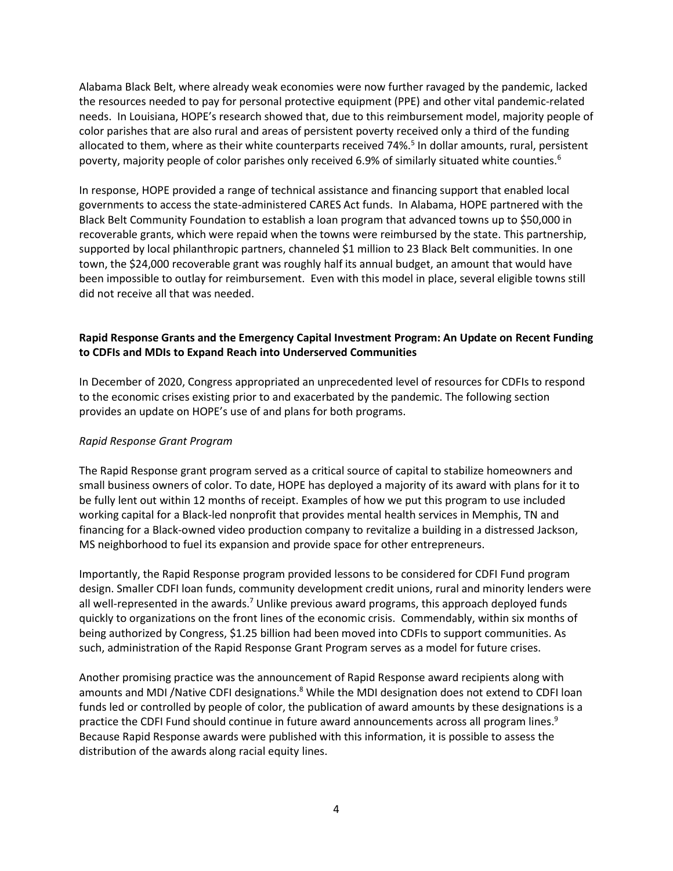Alabama Black Belt, where already weak economies were now further ravaged by the pandemic, lacked the resources needed to pay for personal protective equipment (PPE) and other vital pandemic-related needs. In Louisiana, HOPE's research showed that, due to this reimbursement model, majority people of color parishes that are also rural and areas of persistent poverty received only a third of the funding allocated to them, where as their white counterparts received 74%.<sup>5</sup> In dollar amounts, rural, persistent poverty, majority people of color parishes only received 6.9% of similarly situated white counties.<sup>6</sup>

In response, HOPE provided a range of technical assistance and financing support that enabled local governments to access the state-administered CARES Act funds. In Alabama, HOPE partnered with the Black Belt Community Foundation to establish a loan program that advanced towns up to \$50,000 in recoverable grants, which were repaid when the towns were reimbursed by the state. This partnership, supported by local philanthropic partners, channeled \$1 million to 23 Black Belt communities. In one town, the \$24,000 recoverable grant was roughly half its annual budget, an amount that would have been impossible to outlay for reimbursement. Even with this model in place, several eligible towns still did not receive all that was needed.

## **Rapid Response Grants and the Emergency Capital Investment Program: An Update on Recent Funding to CDFIs and MDIs to Expand Reach into Underserved Communities**

In December of 2020, Congress appropriated an unprecedented level of resources for CDFIs to respond to the economic crises existing prior to and exacerbated by the pandemic. The following section provides an update on HOPE's use of and plans for both programs.

### *Rapid Response Grant Program*

The Rapid Response grant program served as a critical source of capital to stabilize homeowners and small business owners of color. To date, HOPE has deployed a majority of its award with plans for it to be fully lent out within 12 months of receipt. Examples of how we put this program to use included working capital for a Black-led nonprofit that provides mental health services in Memphis, TN and financing for a Black-owned video production company to revitalize a building in a distressed Jackson, MS neighborhood to fuel its expansion and provide space for other entrepreneurs.

Importantly, the Rapid Response program provided lessons to be considered for CDFI Fund program design. Smaller CDFI loan funds, community development credit unions, rural and minority lenders were all well-represented in the awards.<sup>7</sup> Unlike previous award programs, this approach deployed funds quickly to organizations on the front lines of the economic crisis. Commendably, within six months of being authorized by Congress, \$1.25 billion had been moved into CDFIs to support communities. As such, administration of the Rapid Response Grant Program serves as a model for future crises.

Another promising practice was the announcement of Rapid Response award recipients along with amounts and MDI /Native CDFI designations.<sup>8</sup> While the MDI designation does not extend to CDFI loan funds led or controlled by people of color, the publication of award amounts by these designations is a practice the CDFI Fund should continue in future award announcements across all program lines.<sup>9</sup> Because Rapid Response awards were published with this information, it is possible to assess the distribution of the awards along racial equity lines.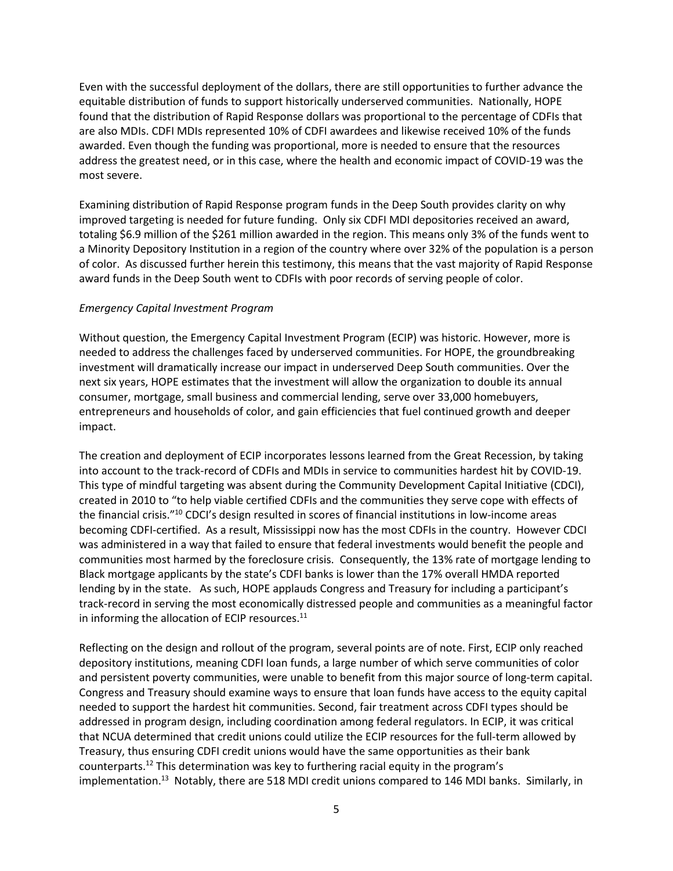Even with the successful deployment of the dollars, there are still opportunities to further advance the equitable distribution of funds to support historically underserved communities. Nationally, HOPE found that the distribution of Rapid Response dollars was proportional to the percentage of CDFIs that are also MDIs. CDFI MDIs represented 10% of CDFI awardees and likewise received 10% of the funds awarded. Even though the funding was proportional, more is needed to ensure that the resources address the greatest need, or in this case, where the health and economic impact of COVID-19 was the most severe.

Examining distribution of Rapid Response program funds in the Deep South provides clarity on why improved targeting is needed for future funding. Only six CDFI MDI depositories received an award, totaling \$6.9 million of the \$261 million awarded in the region. This means only 3% of the funds went to a Minority Depository Institution in a region of the country where over 32% of the population is a person of color. As discussed further herein this testimony, this means that the vast majority of Rapid Response award funds in the Deep South went to CDFIs with poor records of serving people of color.

### *Emergency Capital Investment Program*

Without question, the Emergency Capital Investment Program (ECIP) was historic. However, more is needed to address the challenges faced by underserved communities. For HOPE, the groundbreaking investment will dramatically increase our impact in underserved Deep South communities. Over the next six years, HOPE estimates that the investment will allow the organization to double its annual consumer, mortgage, small business and commercial lending, serve over 33,000 homebuyers, entrepreneurs and households of color, and gain efficiencies that fuel continued growth and deeper impact.

The creation and deployment of ECIP incorporates lessons learned from the Great Recession, by taking into account to the track-record of CDFIs and MDIs in service to communities hardest hit by COVID-19. This type of mindful targeting was absent during the Community Development Capital Initiative (CDCI), created in 2010 to "to help viable certified CDFIs and the communities they serve cope with effects of the financial crisis."<sup>10</sup> CDCI's design resulted in scores of financial institutions in low-income areas becoming CDFI-certified. As a result, Mississippi now has the most CDFIs in the country. However CDCI was administered in a way that failed to ensure that federal investments would benefit the people and communities most harmed by the foreclosure crisis. Consequently, the 13% rate of mortgage lending to Black mortgage applicants by the state's CDFI banks is lower than the 17% overall HMDA reported lending by in the state. As such, HOPE applauds Congress and Treasury for including a participant's track-record in serving the most economically distressed people and communities as a meaningful factor in informing the allocation of ECIP resources. $^{11}$ 

Reflecting on the design and rollout of the program, several points are of note. First, ECIP only reached depository institutions, meaning CDFI loan funds, a large number of which serve communities of color and persistent poverty communities, were unable to benefit from this major source of long-term capital. Congress and Treasury should examine ways to ensure that loan funds have access to the equity capital needed to support the hardest hit communities. Second, fair treatment across CDFI types should be addressed in program design, including coordination among federal regulators. In ECIP, it was critical that NCUA determined that credit unions could utilize the ECIP resources for the full-term allowed by Treasury, thus ensuring CDFI credit unions would have the same opportunities as their bank counterparts.<sup>12</sup> This determination was key to furthering racial equity in the program's implementation.<sup>13</sup> Notably, there are 518 MDI credit unions compared to 146 MDI banks. Similarly, in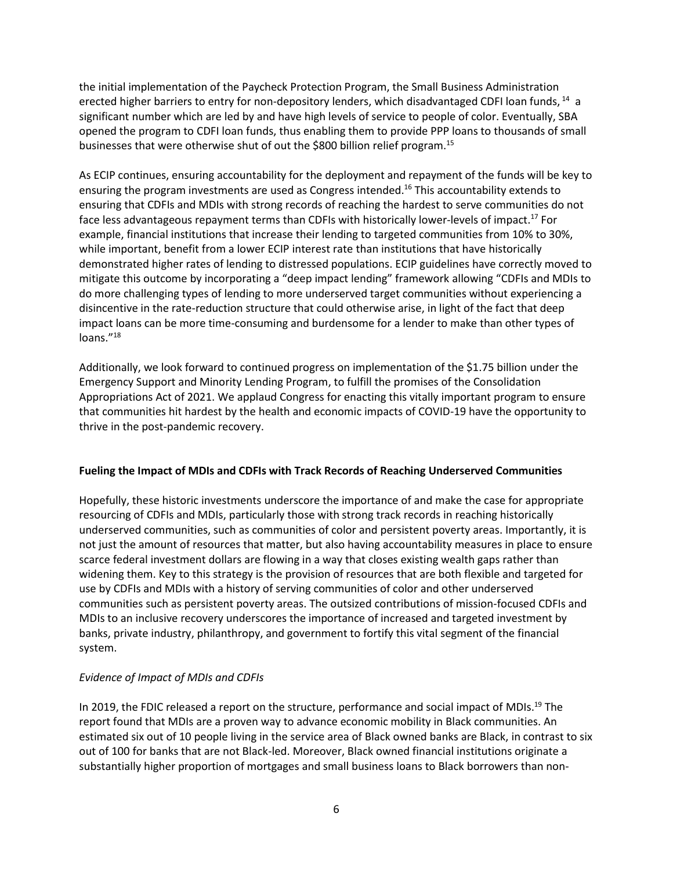the initial implementation of the Paycheck Protection Program, the Small Business Administration erected higher barriers to entry for non-depository lenders, which disadvantaged CDFI loan funds, <sup>14</sup> a significant number which are led by and have high levels of service to people of color. Eventually, SBA opened the program to CDFI loan funds, thus enabling them to provide PPP loans to thousands of small businesses that were otherwise shut of out the \$800 billion relief program.<sup>15</sup>

As ECIP continues, ensuring accountability for the deployment and repayment of the funds will be key to ensuring the program investments are used as Congress intended. <sup>16</sup> This accountability extends to ensuring that CDFIs and MDIs with strong records of reaching the hardest to serve communities do not face less advantageous repayment terms than CDFIs with historically lower-levels of impact.<sup>17</sup> For example, financial institutions that increase their lending to targeted communities from 10% to 30%, while important, benefit from a lower ECIP interest rate than institutions that have historically demonstrated higher rates of lending to distressed populations. ECIP guidelines have correctly moved to mitigate this outcome by incorporating a "deep impact lending" framework allowing "CDFIs and MDIs to do more challenging types of lending to more underserved target communities without experiencing a disincentive in the rate-reduction structure that could otherwise arise, in light of the fact that deep impact loans can be more time-consuming and burdensome for a lender to make than other types of loans."<sup>18</sup>

Additionally, we look forward to continued progress on implementation of the \$1.75 billion under the Emergency Support and Minority Lending Program, to fulfill the promises of the Consolidation Appropriations Act of 2021. We applaud Congress for enacting this vitally important program to ensure that communities hit hardest by the health and economic impacts of COVID-19 have the opportunity to thrive in the post-pandemic recovery.

### **Fueling the Impact of MDIs and CDFIs with Track Records of Reaching Underserved Communities**

Hopefully, these historic investments underscore the importance of and make the case for appropriate resourcing of CDFIs and MDIs, particularly those with strong track records in reaching historically underserved communities, such as communities of color and persistent poverty areas. Importantly, it is not just the amount of resources that matter, but also having accountability measures in place to ensure scarce federal investment dollars are flowing in a way that closes existing wealth gaps rather than widening them. Key to this strategy is the provision of resources that are both flexible and targeted for use by CDFIs and MDIs with a history of serving communities of color and other underserved communities such as persistent poverty areas. The outsized contributions of mission-focused CDFIs and MDIs to an inclusive recovery underscores the importance of increased and targeted investment by banks, private industry, philanthropy, and government to fortify this vital segment of the financial system.

### *Evidence of Impact of MDIs and CDFIs*

In 2019, the FDIC released a report on the structure, performance and social impact of MDIs.<sup>19</sup> The report found that MDIs are a proven way to advance economic mobility in Black communities. An estimated six out of 10 people living in the service area of Black owned banks are Black, in contrast to six out of 100 for banks that are not Black-led. Moreover, Black owned financial institutions originate a substantially higher proportion of mortgages and small business loans to Black borrowers than non-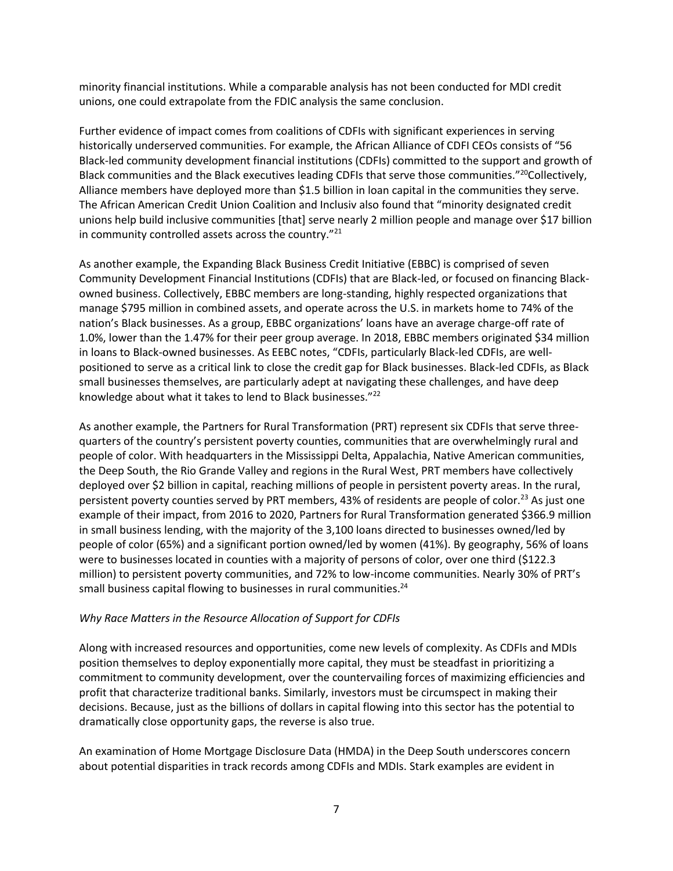minority financial institutions. While a comparable analysis has not been conducted for MDI credit unions, one could extrapolate from the FDIC analysis the same conclusion.

Further evidence of impact comes from coalitions of CDFIs with significant experiences in serving historically underserved communities. For example, the African Alliance of CDFI CEOs consists of "56 Black-led community development financial institutions (CDFIs) committed to the support and growth of Black communities and the Black executives leading CDFIs that serve those communities."<sup>20</sup>Collectively, Alliance members have deployed more than \$1.5 billion in loan capital in the communities they serve. The African American Credit Union Coalition and Inclusiv also found that "minority designated credit unions help build inclusive communities [that] serve nearly 2 million people and manage over \$17 billion in community controlled assets across the country."<sup>21</sup>

As another example, the Expanding Black Business Credit Initiative (EBBC) is comprised of seven Community Development Financial Institutions (CDFIs) that are Black-led, or focused on financing Blackowned business. Collectively, EBBC members are long-standing, highly respected organizations that manage \$795 million in combined assets, and operate across the U.S. in markets home to 74% of the nation's Black businesses. As a group, EBBC organizations' loans have an average charge-off rate of 1.0%, lower than the 1.47% for their peer group average. In 2018, EBBC members originated \$34 million in loans to Black-owned businesses. As EEBC notes, "CDFIs, particularly Black-led CDFIs, are wellpositioned to serve as a critical link to close the credit gap for Black businesses. Black-led CDFIs, as Black small businesses themselves, are particularly adept at navigating these challenges, and have deep knowledge about what it takes to lend to Black businesses."<sup>22</sup>

As another example, the Partners for Rural Transformation (PRT) represent six CDFIs that serve threequarters of the country's persistent poverty counties, communities that are overwhelmingly rural and people of color. With headquarters in the Mississippi Delta, Appalachia, Native American communities, the Deep South, the Rio Grande Valley and regions in the Rural West, PRT members have collectively deployed over \$2 billion in capital, reaching millions of people in persistent poverty areas. In the rural, persistent poverty counties served by PRT members, 43% of residents are people of color.<sup>23</sup> As just one example of their impact, from 2016 to 2020, Partners for Rural Transformation generated \$366.9 million in small business lending, with the majority of the 3,100 loans directed to businesses owned/led by people of color (65%) and a significant portion owned/led by women (41%). By geography, 56% of loans were to businesses located in counties with a majority of persons of color, over one third (\$122.3 million) to persistent poverty communities, and 72% to low-income communities. Nearly 30% of PRT's small business capital flowing to businesses in rural communities. 24

### *Why Race Matters in the Resource Allocation of Support for CDFIs*

Along with increased resources and opportunities, come new levels of complexity. As CDFIs and MDIs position themselves to deploy exponentially more capital, they must be steadfast in prioritizing a commitment to community development, over the countervailing forces of maximizing efficiencies and profit that characterize traditional banks. Similarly, investors must be circumspect in making their decisions. Because, just as the billions of dollars in capital flowing into this sector has the potential to dramatically close opportunity gaps, the reverse is also true.

An examination of Home Mortgage Disclosure Data (HMDA) in the Deep South underscores concern about potential disparities in track records among CDFIs and MDIs. Stark examples are evident in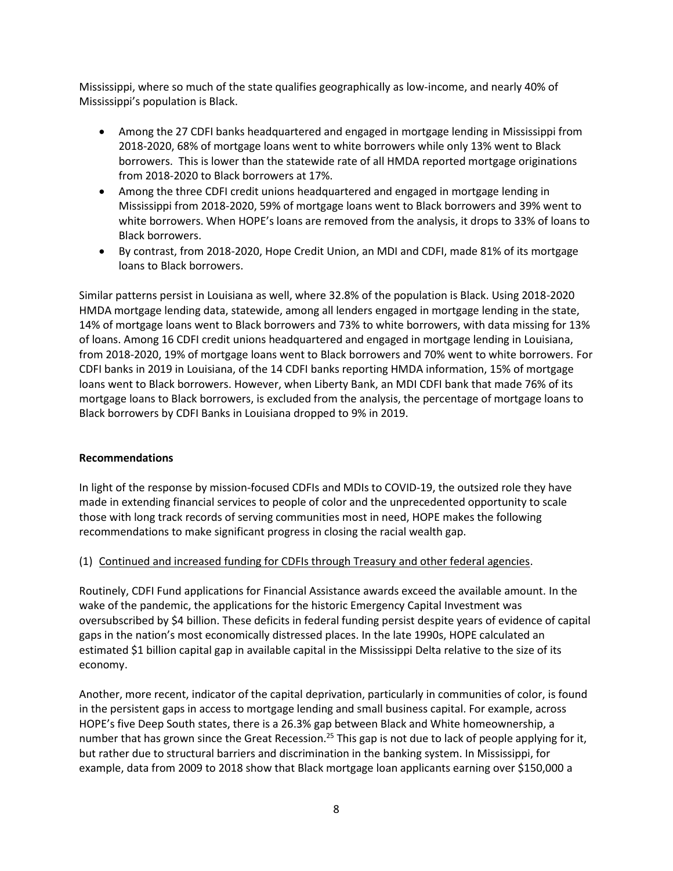Mississippi, where so much of the state qualifies geographically as low-income, and nearly 40% of Mississippi's population is Black.

- Among the 27 CDFI banks headquartered and engaged in mortgage lending in Mississippi from 2018-2020, 68% of mortgage loans went to white borrowers while only 13% went to Black borrowers. This is lower than the statewide rate of all HMDA reported mortgage originations from 2018-2020 to Black borrowers at 17%.
- Among the three CDFI credit unions headquartered and engaged in mortgage lending in Mississippi from 2018-2020, 59% of mortgage loans went to Black borrowers and 39% went to white borrowers. When HOPE's loans are removed from the analysis, it drops to 33% of loans to Black borrowers.
- By contrast, from 2018-2020, Hope Credit Union, an MDI and CDFI, made 81% of its mortgage loans to Black borrowers.

Similar patterns persist in Louisiana as well, where 32.8% of the population is Black. Using 2018-2020 HMDA mortgage lending data, statewide, among all lenders engaged in mortgage lending in the state, 14% of mortgage loans went to Black borrowers and 73% to white borrowers, with data missing for 13% of loans. Among 16 CDFI credit unions headquartered and engaged in mortgage lending in Louisiana, from 2018-2020, 19% of mortgage loans went to Black borrowers and 70% went to white borrowers. For CDFI banks in 2019 in Louisiana, of the 14 CDFI banks reporting HMDA information, 15% of mortgage loans went to Black borrowers. However, when Liberty Bank, an MDI CDFI bank that made 76% of its mortgage loans to Black borrowers, is excluded from the analysis, the percentage of mortgage loans to Black borrowers by CDFI Banks in Louisiana dropped to 9% in 2019.

### **Recommendations**

In light of the response by mission-focused CDFIs and MDIs to COVID-19, the outsized role they have made in extending financial services to people of color and the unprecedented opportunity to scale those with long track records of serving communities most in need, HOPE makes the following recommendations to make significant progress in closing the racial wealth gap.

### (1) Continued and increased funding for CDFIs through Treasury and other federal agencies.

Routinely, CDFI Fund applications for Financial Assistance awards exceed the available amount. In the wake of the pandemic, the applications for the historic Emergency Capital Investment was oversubscribed by \$4 billion. These deficits in federal funding persist despite years of evidence of capital gaps in the nation's most economically distressed places. In the late 1990s, HOPE calculated an estimated \$1 billion capital gap in available capital in the Mississippi Delta relative to the size of its economy.

Another, more recent, indicator of the capital deprivation, particularly in communities of color, is found in the persistent gaps in access to mortgage lending and small business capital. For example, across HOPE's five Deep South states, there is a 26.3% gap between Black and White homeownership, a number that has grown since the Great Recession.<sup>25</sup> This gap is not due to lack of people applying for it, but rather due to structural barriers and discrimination in the banking system. In Mississippi, for example, data from 2009 to 2018 show that Black mortgage loan applicants earning over \$150,000 a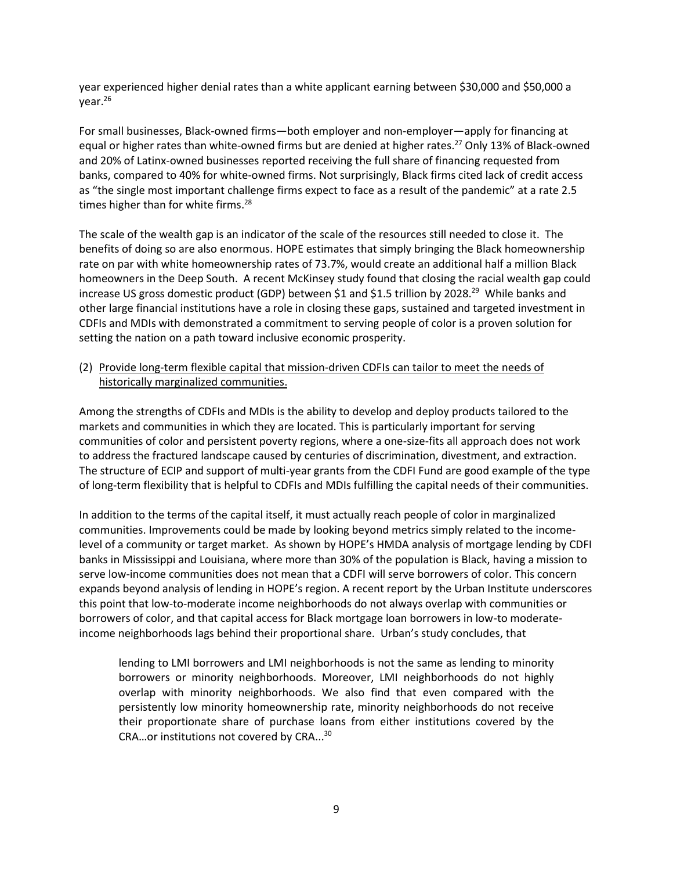year experienced higher denial rates than a white applicant earning between \$30,000 and \$50,000 a year.<sup>26</sup>

For small businesses, Black-owned firms—both employer and non-employer—apply for financing at equal or higher rates than white-owned firms but are denied at higher rates.<sup>27</sup> Only 13% of Black-owned and 20% of Latinx-owned businesses reported receiving the full share of financing requested from banks, compared to 40% for white-owned firms. Not surprisingly, Black firms cited lack of credit access as "the single most important challenge firms expect to face as a result of the pandemic" at a rate 2.5 times higher than for white firms.<sup>28</sup>

The scale of the wealth gap is an indicator of the scale of the resources still needed to close it. The benefits of doing so are also enormous. HOPE estimates that simply bringing the Black homeownership rate on par with white homeownership rates of 73.7%, would create an additional half a million Black homeowners in the Deep South. A recent McKinsey study found that closing the racial wealth gap could increase US gross domestic product (GDP) between \$1 and \$1.5 trillion by 2028.<sup>29</sup> While banks and other large financial institutions have a role in closing these gaps, sustained and targeted investment in CDFIs and MDIs with demonstrated a commitment to serving people of color is a proven solution for setting the nation on a path toward inclusive economic prosperity.

(2) Provide long-term flexible capital that mission-driven CDFIs can tailor to meet the needs of historically marginalized communities.

Among the strengths of CDFIs and MDIs is the ability to develop and deploy products tailored to the markets and communities in which they are located. This is particularly important for serving communities of color and persistent poverty regions, where a one-size-fits all approach does not work to address the fractured landscape caused by centuries of discrimination, divestment, and extraction. The structure of ECIP and support of multi-year grants from the CDFI Fund are good example of the type of long-term flexibility that is helpful to CDFIs and MDIs fulfilling the capital needs of their communities.

In addition to the terms of the capital itself, it must actually reach people of color in marginalized communities. Improvements could be made by looking beyond metrics simply related to the incomelevel of a community or target market. As shown by HOPE's HMDA analysis of mortgage lending by CDFI banks in Mississippi and Louisiana, where more than 30% of the population is Black, having a mission to serve low-income communities does not mean that a CDFI will serve borrowers of color. This concern expands beyond analysis of lending in HOPE's region. A recent report by the Urban Institute underscores this point that low-to-moderate income neighborhoods do not always overlap with communities or borrowers of color, and that capital access for Black mortgage loan borrowers in low-to moderateincome neighborhoods lags behind their proportional share. Urban's study concludes, that

lending to LMI borrowers and LMI neighborhoods is not the same as lending to minority borrowers or minority neighborhoods. Moreover, LMI neighborhoods do not highly overlap with minority neighborhoods. We also find that even compared with the persistently low minority homeownership rate, minority neighborhoods do not receive their proportionate share of purchase loans from either institutions covered by the CRA...or institutions not covered by CRA...<sup>30</sup>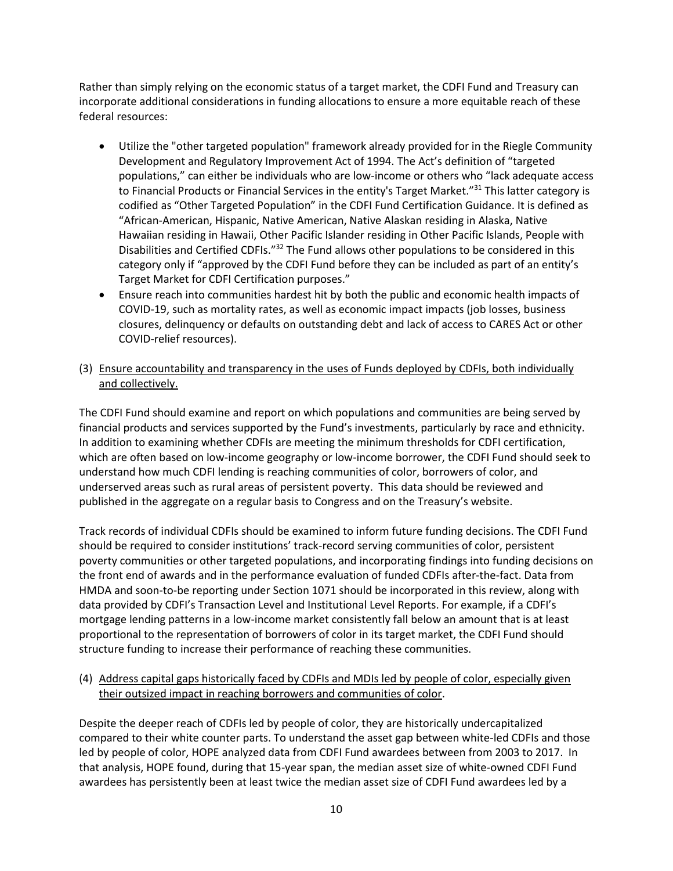Rather than simply relying on the economic status of a target market, the CDFI Fund and Treasury can incorporate additional considerations in funding allocations to ensure a more equitable reach of these federal resources:

- Utilize the "other targeted population" framework already provided for in the Riegle Community Development and Regulatory Improvement Act of 1994. The Act's definition of "targeted populations," can either be individuals who are low-income or others who "lack adequate access to Financial Products or Financial Services in the entity's Target Market."<sup>31</sup> This latter category is codified as "Other Targeted Population" in the CDFI Fund Certification Guidance. It is defined as "African-American, Hispanic, Native American, Native Alaskan residing in Alaska, Native Hawaiian residing in Hawaii, Other Pacific Islander residing in Other Pacific Islands, People with Disabilities and Certified CDFIs."<sup>32</sup> The Fund allows other populations to be considered in this category only if "approved by the CDFI Fund before they can be included as part of an entity's Target Market for CDFI Certification purposes."
- Ensure reach into communities hardest hit by both the public and economic health impacts of COVID-19, such as mortality rates, as well as economic impact impacts (job losses, business closures, delinquency or defaults on outstanding debt and lack of access to CARES Act or other COVID-relief resources).
- (3) Ensure accountability and transparency in the uses of Funds deployed by CDFIs, both individually and collectively.

The CDFI Fund should examine and report on which populations and communities are being served by financial products and services supported by the Fund's investments, particularly by race and ethnicity. In addition to examining whether CDFIs are meeting the minimum thresholds for CDFI certification, which are often based on low-income geography or low-income borrower, the CDFI Fund should seek to understand how much CDFI lending is reaching communities of color, borrowers of color, and underserved areas such as rural areas of persistent poverty. This data should be reviewed and published in the aggregate on a regular basis to Congress and on the Treasury's website.

Track records of individual CDFIs should be examined to inform future funding decisions. The CDFI Fund should be required to consider institutions' track-record serving communities of color, persistent poverty communities or other targeted populations, and incorporating findings into funding decisions on the front end of awards and in the performance evaluation of funded CDFIs after-the-fact. Data from HMDA and soon-to-be reporting under Section 1071 should be incorporated in this review, along with data provided by CDFI's Transaction Level and Institutional Level Reports. For example, if a CDFI's mortgage lending patterns in a low-income market consistently fall below an amount that is at least proportional to the representation of borrowers of color in its target market, the CDFI Fund should structure funding to increase their performance of reaching these communities.

(4) Address capital gaps historically faced by CDFIs and MDIs led by people of color, especially given their outsized impact in reaching borrowers and communities of color.

Despite the deeper reach of CDFIs led by people of color, they are historically undercapitalized compared to their white counter parts. To understand the asset gap between white-led CDFIs and those led by people of color, HOPE analyzed data from CDFI Fund awardees between from 2003 to 2017. In that analysis, HOPE found, during that 15-year span, the median asset size of white-owned CDFI Fund awardees has persistently been at least twice the median asset size of CDFI Fund awardees led by a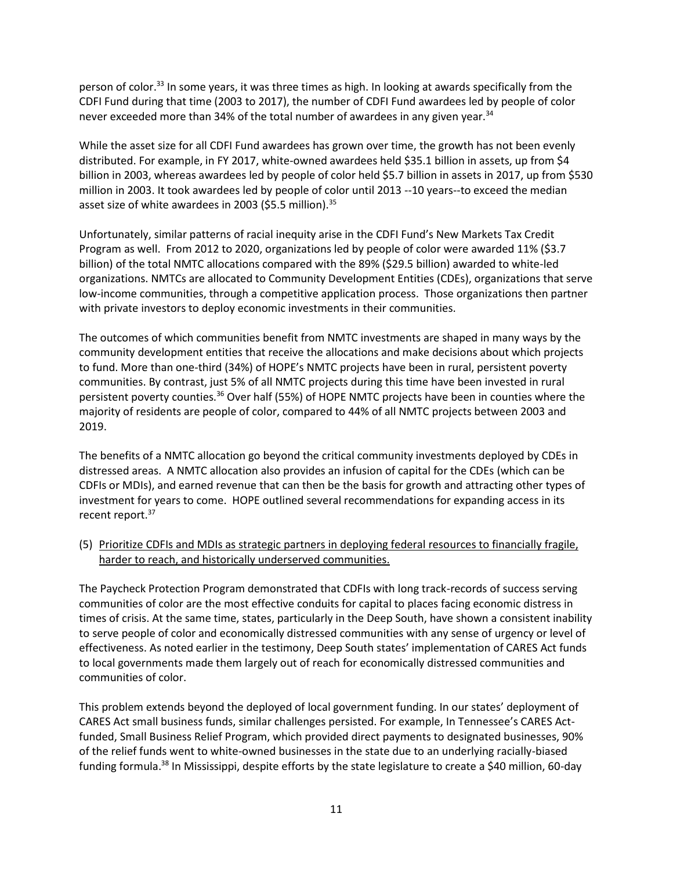person of color.<sup>33</sup> In some years, it was three times as high. In looking at awards specifically from the CDFI Fund during that time (2003 to 2017), the number of CDFI Fund awardees led by people of color never exceeded more than 34% of the total number of awardees in any given year.<sup>34</sup>

While the asset size for all CDFI Fund awardees has grown over time, the growth has not been evenly distributed. For example, in FY 2017, white-owned awardees held \$35.1 billion in assets, up from \$4 billion in 2003, whereas awardees led by people of color held \$5.7 billion in assets in 2017, up from \$530 million in 2003. It took awardees led by people of color until 2013 --10 years--to exceed the median asset size of white awardees in 2003 (\$5.5 million).<sup>35</sup>

Unfortunately, similar patterns of racial inequity arise in the CDFI Fund's New Markets Tax Credit Program as well. From 2012 to 2020, organizations led by people of color were awarded 11% (\$3.7 billion) of the total NMTC allocations compared with the 89% (\$29.5 billion) awarded to white-led organizations. NMTCs are allocated to Community Development Entities (CDEs), organizations that serve low-income communities, through a competitive application process. Those organizations then partner with private investors to deploy economic investments in their communities.

The outcomes of which communities benefit from NMTC investments are shaped in many ways by the community development entities that receive the allocations and make decisions about which projects to fund. More than one-third (34%) of HOPE's NMTC projects have been in rural, persistent poverty communities. By contrast, just 5% of all NMTC projects during this time have been invested in rural persistent poverty counties.<sup>36</sup> Over half (55%) of HOPE NMTC projects have been in counties where the majority of residents are people of color, compared to 44% of all NMTC projects between 2003 and 2019.

The benefits of a NMTC allocation go beyond the critical community investments deployed by CDEs in distressed areas. A NMTC allocation also provides an infusion of capital for the CDEs (which can be CDFIs or MDIs), and earned revenue that can then be the basis for growth and attracting other types of investment for years to come. HOPE outlined several recommendations for expanding access in its recent report.<sup>37</sup>

(5) Prioritize CDFIs and MDIs as strategic partners in deploying federal resources to financially fragile, harder to reach, and historically underserved communities.

The Paycheck Protection Program demonstrated that CDFIs with long track-records of success serving communities of color are the most effective conduits for capital to places facing economic distress in times of crisis. At the same time, states, particularly in the Deep South, have shown a consistent inability to serve people of color and economically distressed communities with any sense of urgency or level of effectiveness. As noted earlier in the testimony, Deep South states' implementation of CARES Act funds to local governments made them largely out of reach for economically distressed communities and communities of color.

This problem extends beyond the deployed of local government funding. In our states' deployment of CARES Act small business funds, similar challenges persisted. For example, In Tennessee's CARES Actfunded, Small Business Relief Program, which provided direct payments to designated businesses, 90% of the relief funds went to white-owned businesses in the state due to an underlying racially-biased funding formula.<sup>38</sup> In Mississippi, despite efforts by the state legislature to create a \$40 million, 60-day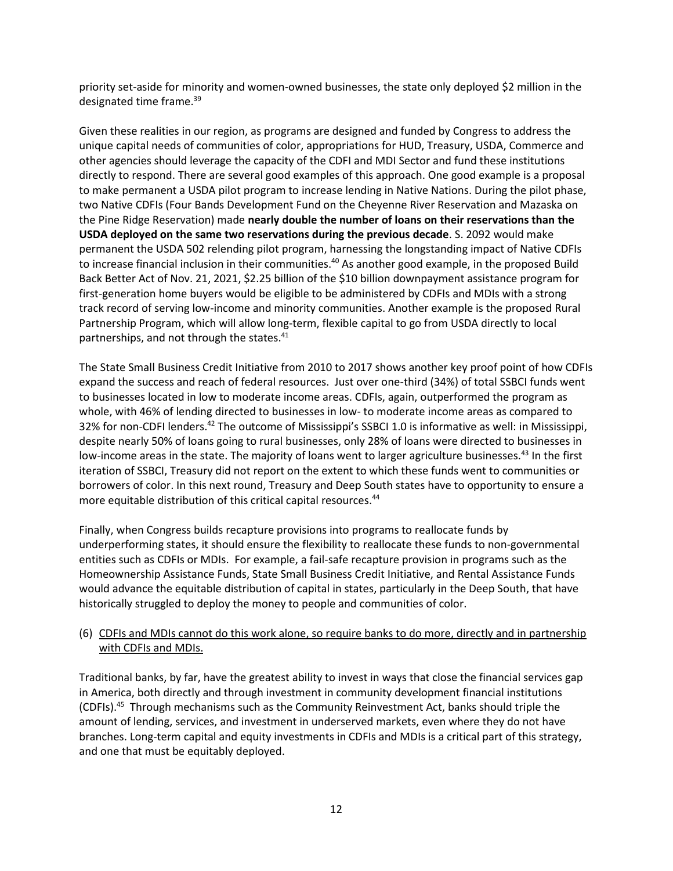priority set-aside for minority and women-owned businesses, the state only deployed \$2 million in the designated time frame.<sup>39</sup>

Given these realities in our region, as programs are designed and funded by Congress to address the unique capital needs of communities of color, appropriations for HUD, Treasury, USDA, Commerce and other agencies should leverage the capacity of the CDFI and MDI Sector and fund these institutions directly to respond. There are several good examples of this approach. One good example is a proposal to make permanent a USDA pilot program to increase lending in Native Nations. During the pilot phase, two Native CDFIs (Four Bands Development Fund on the Cheyenne River Reservation and Mazaska on the Pine Ridge Reservation) made **nearly double the number of loans on their reservations than the USDA deployed on the same two reservations during the previous decade**. S. 2092 would make permanent the USDA 502 relending pilot program, harnessing the longstanding impact of Native CDFIs to increase financial inclusion in their communities.<sup>40</sup> As another good example, in the proposed Build Back Better Act of Nov. 21, 2021, \$2.25 billion of the \$10 billion downpayment assistance program for first-generation home buyers would be eligible to be administered by CDFIs and MDIs with a strong track record of serving low-income and minority communities. Another example is the proposed Rural Partnership Program, which will allow long-term, flexible capital to go from USDA directly to local partnerships, and not through the states.<sup>41</sup>

The State Small Business Credit Initiative from 2010 to 2017 shows another key proof point of how CDFIs expand the success and reach of federal resources. Just over one-third (34%) of total SSBCI funds went to businesses located in low to moderate income areas. CDFIs, again, outperformed the program as whole, with 46% of lending directed to businesses in low- to moderate income areas as compared to 32% for non-CDFI lenders.<sup>42</sup> The outcome of Mississippi's SSBCI 1.0 is informative as well: in Mississippi, despite nearly 50% of loans going to rural businesses, only 28% of loans were directed to businesses in low-income areas in the state. The majority of loans went to larger agriculture businesses.<sup>43</sup> In the first iteration of SSBCI, Treasury did not report on the extent to which these funds went to communities or borrowers of color. In this next round, Treasury and Deep South states have to opportunity to ensure a more equitable distribution of this critical capital resources.<sup>44</sup>

Finally, when Congress builds recapture provisions into programs to reallocate funds by underperforming states, it should ensure the flexibility to reallocate these funds to non-governmental entities such as CDFIs or MDIs. For example, a fail-safe recapture provision in programs such as the Homeownership Assistance Funds, State Small Business Credit Initiative, and Rental Assistance Funds would advance the equitable distribution of capital in states, particularly in the Deep South, that have historically struggled to deploy the money to people and communities of color.

## (6) CDFIs and MDIs cannot do this work alone, so require banks to do more, directly and in partnership with CDFIs and MDIs.

Traditional banks, by far, have the greatest ability to invest in ways that close the financial services gap in America, both directly and through investment in community development financial institutions (CDFIs).<sup>45</sup> Through mechanisms such as the Community Reinvestment Act, banks should triple the amount of lending, services, and investment in underserved markets, even where they do not have branches. Long-term capital and equity investments in CDFIs and MDIs is a critical part of this strategy, and one that must be equitably deployed.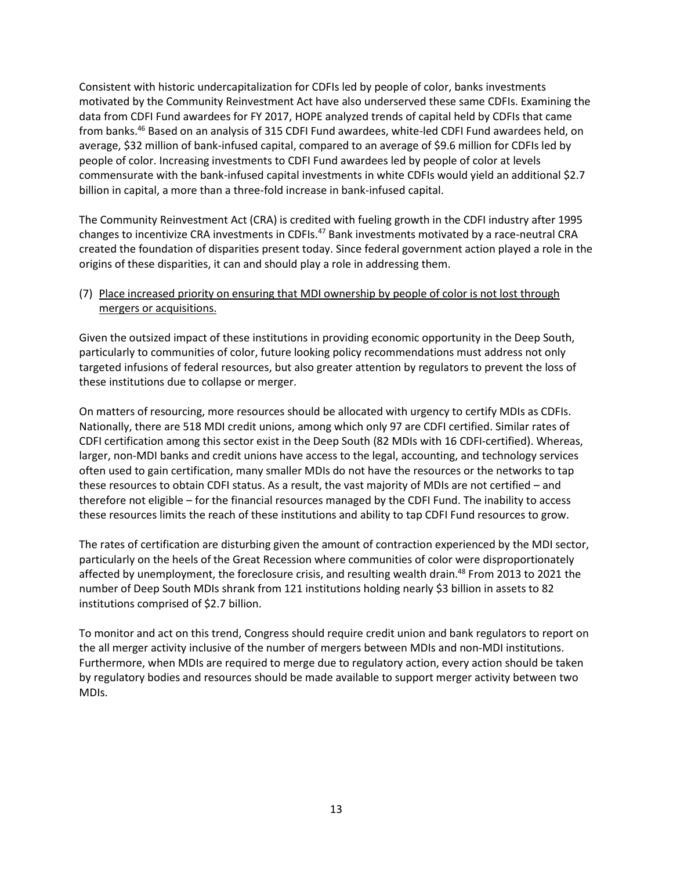Consistent with historic undercapitalization for CDFIs led by people of color, banks investments motivated by the Community Reinvestment Act have also underserved these same CDFIs. Examining the data from CDFI Fund awardees for FY 2017, HOPE analyzed trends of capital held by CDFIs that came from banks.<sup>46</sup> Based on an analysis of 315 CDFI Fund awardees, white-led CDFI Fund awardees held, on average, \$32 million of bank-infused capital, compared to an average of \$9.6 million for CDFIs led by people of color. Increasing investments to CDFI Fund awardees led by people of color at levels commensurate with the bank-infused capital investments in white CDFIs would yield an additional \$2.7 billion in capital, a more than a three-fold increase in bank-infused capital.

The Community Reinvestment Act (CRA) is credited with fueling growth in the CDFI industry after 1995 changes to incentivize CRA investments in CDFIs.<sup>47</sup> Bank investments motivated by a race-neutral CRA created the foundation of disparities present today. Since federal government action played a role in the origins of these disparities, it can and should play a role in addressing them.

## (7) Place increased priority on ensuring that MDI ownership by people of color is not lost through mergers or acquisitions.

Given the outsized impact of these institutions in providing economic opportunity in the Deep South, particularly to communities of color, future looking policy recommendations must address not only targeted infusions of federal resources, but also greater attention by regulators to prevent the loss of these institutions due to collapse or merger.

On matters of resourcing, more resources should be allocated with urgency to certify MDIs as CDFIs. Nationally, there are 518 MDI credit unions, among which only 97 are CDFI certified. Similar rates of CDFI certification among this sector exist in the Deep South (82 MDIs with 16 CDFI-certified). Whereas, larger, non-MDI banks and credit unions have access to the legal, accounting, and technology services often used to gain certification, many smaller MDIs do not have the resources or the networks to tap these resources to obtain CDFI status. As a result, the vast majority of MDIs are not certified – and therefore not eligible – for the financial resources managed by the CDFI Fund. The inability to access these resources limits the reach of these institutions and ability to tap CDFI Fund resources to grow.

The rates of certification are disturbing given the amount of contraction experienced by the MDI sector, particularly on the heels of the Great Recession where communities of color were disproportionately affected by unemployment, the foreclosure crisis, and resulting wealth drain.<sup>48</sup> From 2013 to 2021 the number of Deep South MDIs shrank from 121 institutions holding nearly \$3 billion in assets to 82 institutions comprised of \$2.7 billion.

To monitor and act on this trend, Congress should require credit union and bank regulators to report on the all merger activity inclusive of the number of mergers between MDIs and non-MDI institutions. Furthermore, when MDIs are required to merge due to regulatory action, every action should be taken by regulatory bodies and resources should be made available to support merger activity between two MDIs.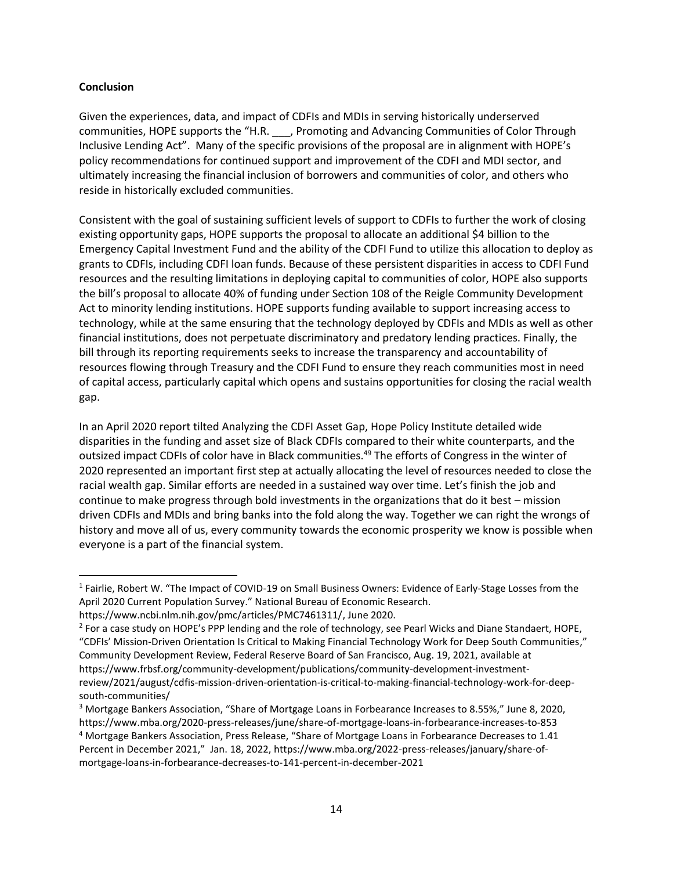#### **Conclusion**

 $\overline{a}$ 

Given the experiences, data, and impact of CDFIs and MDIs in serving historically underserved communities, HOPE supports the "H.R. \_\_\_, Promoting and Advancing Communities of Color Through Inclusive Lending Act". Many of the specific provisions of the proposal are in alignment with HOPE's policy recommendations for continued support and improvement of the CDFI and MDI sector, and ultimately increasing the financial inclusion of borrowers and communities of color, and others who reside in historically excluded communities.

Consistent with the goal of sustaining sufficient levels of support to CDFIs to further the work of closing existing opportunity gaps, HOPE supports the proposal to allocate an additional \$4 billion to the Emergency Capital Investment Fund and the ability of the CDFI Fund to utilize this allocation to deploy as grants to CDFIs, including CDFI loan funds. Because of these persistent disparities in access to CDFI Fund resources and the resulting limitations in deploying capital to communities of color, HOPE also supports the bill's proposal to allocate 40% of funding under Section 108 of the Reigle Community Development Act to minority lending institutions. HOPE supports funding available to support increasing access to technology, while at the same ensuring that the technology deployed by CDFIs and MDIs as well as other financial institutions, does not perpetuate discriminatory and predatory lending practices. Finally, the bill through its reporting requirements seeks to increase the transparency and accountability of resources flowing through Treasury and the CDFI Fund to ensure they reach communities most in need of capital access, particularly capital which opens and sustains opportunities for closing the racial wealth gap.

In an April 2020 report tilted Analyzing the CDFI Asset Gap, Hope Policy Institute detailed wide disparities in the funding and asset size of Black CDFIs compared to their white counterparts, and the outsized impact CDFIs of color have in Black communities.<sup>49</sup> The efforts of Congress in the winter of 2020 represented an important first step at actually allocating the level of resources needed to close the racial wealth gap. Similar efforts are needed in a sustained way over time. Let's finish the job and continue to make progress through bold investments in the organizations that do it best – mission driven CDFIs and MDIs and bring banks into the fold along the way. Together we can right the wrongs of history and move all of us, every community towards the economic prosperity we know is possible when everyone is a part of the financial system.

<sup>&</sup>lt;sup>1</sup> Fairlie, Robert W. "The Impact of COVID-19 on Small Business Owners: Evidence of Early-Stage Losses from the April 2020 Current Population Survey." National Bureau of Economic Research.

https://www.ncbi.nlm.nih.gov/pmc/articles/PMC7461311/, June 2020.

<sup>&</sup>lt;sup>2</sup> For a case study on HOPE's PPP lending and the role of technology, see Pearl Wicks and Diane Standaert, HOPE, "CDFIs' Mission-Driven Orientation Is Critical to Making Financial Technology Work for Deep South Communities," Community Development Review, Federal Reserve Board of San Francisco, Aug. 19, 2021, available at https://www.frbsf.org/community-development/publications/community-development-investmentreview/2021/august/cdfis-mission-driven-orientation-is-critical-to-making-financial-technology-work-for-deepsouth-communities/

<sup>3</sup> Mortgage Bankers Association, "Share of Mortgage Loans in Forbearance Increases to 8.55%," June 8, 2020, https://www.mba.org/2020-press-releases/june/share-of-mortgage-loans-in-forbearance-increases-to-853

<sup>4</sup> Mortgage Bankers Association, Press Release, "Share of Mortgage Loans in Forbearance Decreases to 1.41 Percent in December 2021," Jan. 18, 2022, https://www.mba.org/2022-press-releases/january/share-ofmortgage-loans-in-forbearance-decreases-to-141-percent-in-december-2021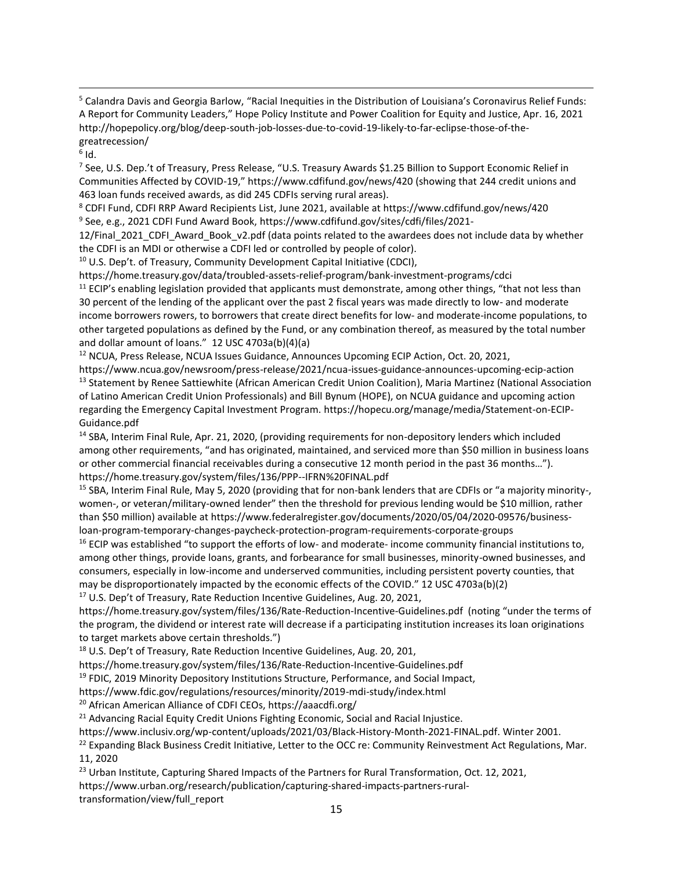<sup>5</sup> Calandra Davis and Georgia Barlow, "Racial Inequities in the Distribution of Louisiana's Coronavirus Relief Funds: A Report for Community Leaders," Hope Policy Institute and Power Coalition for Equity and Justice, Apr. 16, 2021 http://hopepolicy.org/blog/deep-south-job-losses-due-to-covid-19-likely-to-far-eclipse-those-of-thegreatrecession/

 $^6$  Id.

 $\overline{a}$ 

<sup>7</sup> See, U.S. Dep.'t of Treasury, Press Release, "U.S. Treasury Awards \$1.25 Billion to Support Economic Relief in Communities Affected by COVID-19," https://www.cdfifund.gov/news/420 (showing that 244 credit unions and 463 loan funds received awards, as did 245 CDFIs serving rural areas).

<sup>8</sup> CDFI Fund, CDFI RRP Award Recipients List, June 2021, available at https://www.cdfifund.gov/news/420 9 See, e.g., 2021 CDFI Fund Award Book, https://www.cdfifund.gov/sites/cdfi/files/2021-

12/Final\_2021\_CDFI\_Award\_Book\_v2.pdf (data points related to the awardees does not include data by whether the CDFI is an MDI or otherwise a CDFI led or controlled by people of color).

<sup>10</sup> U.S. Dep't. of Treasury, Community Development Capital Initiative (CDCI),

https://home.treasury.gov/data/troubled-assets-relief-program/bank-investment-programs/cdci

 $11$  ECIP's enabling legislation provided that applicants must demonstrate, among other things, "that not less than 30 percent of the lending of the applicant over the past 2 fiscal years was made directly to low- and moderate income borrowers rowers, to borrowers that create direct benefits for low- and moderate-income populations, to other targeted populations as defined by the Fund, or any combination thereof, as measured by the total number and dollar amount of loans." 12 USC 4703a(b)(4)(a)

<sup>12</sup> NCUA, Press Release, NCUA Issues Guidance, Announces Upcoming ECIP Action, Oct. 20, 2021,

https://www.ncua.gov/newsroom/press-release/2021/ncua-issues-guidance-announces-upcoming-ecip-action <sup>13</sup> Statement by Renee Sattiewhite (African American Credit Union Coalition), Maria Martinez (National Association of Latino American Credit Union Professionals) and Bill Bynum (HOPE), on NCUA guidance and upcoming action regarding the Emergency Capital Investment Program. https://hopecu.org/manage/media/Statement-on-ECIP-Guidance.pdf

<sup>14</sup> SBA, Interim Final Rule, Apr. 21, 2020, (providing requirements for non-depository lenders which included among other requirements, "and has originated, maintained, and serviced more than \$50 million in business loans or other commercial financial receivables during a consecutive 12 month period in the past 36 months…"). https://home.treasury.gov/system/files/136/PPP--IFRN%20FINAL.pdf

<sup>15</sup> SBA, Interim Final Rule, May 5, 2020 (providing that for non-bank lenders that are CDFIs or "a majority minority-, women-, or veteran/military-owned lender" then the threshold for previous lending would be \$10 million, rather than \$50 million) available at https://www.federalregister.gov/documents/2020/05/04/2020-09576/businessloan-program-temporary-changes-paycheck-protection-program-requirements-corporate-groups

<sup>16</sup> ECIP was established "to support the efforts of low- and moderate- income community financial institutions to, among other things, provide loans, grants, and forbearance for small businesses, minority-owned businesses, and consumers, especially in low-income and underserved communities, including persistent poverty counties, that may be disproportionately impacted by the economic effects of the COVID." 12 USC 4703a(b)(2)

<sup>17</sup> U.S. Dep't of Treasury, Rate Reduction Incentive Guidelines, Aug. 20, 2021,

https://home.treasury.gov/system/files/136/Rate-Reduction-Incentive-Guidelines.pdf (noting "under the terms of the program, the dividend or interest rate will decrease if a participating institution increases its loan originations to target markets above certain thresholds.")

<sup>18</sup> U.S. Dep't of Treasury, Rate Reduction Incentive Guidelines, Aug. 20, 201,

https://home.treasury.gov/system/files/136/Rate-Reduction-Incentive-Guidelines.pdf

<sup>19</sup> FDIC, 2019 Minority Depository Institutions Structure, Performance, and Social Impact,

https://www.fdic.gov/regulations/resources/minority/2019-mdi-study/index.html

<sup>20</sup> African American Alliance of CDFI CEOs, https://aaacdfi.org/

<sup>21</sup> Advancing Racial Equity Credit Unions Fighting Economic, Social and Racial Injustice.

https://www.inclusiv.org/wp-content/uploads/2021/03/Black-History-Month-2021-FINAL.pdf. Winter 2001.

<sup>22</sup> Expanding Black Business Credit Initiative, Letter to the OCC re: Community Reinvestment Act Regulations, Mar. 11, 2020

<sup>23</sup> Urban Institute, Capturing Shared Impacts of the Partners for Rural Transformation, Oct. 12, 2021, https://www.urban.org/research/publication/capturing-shared-impacts-partners-rural-

transformation/view/full\_report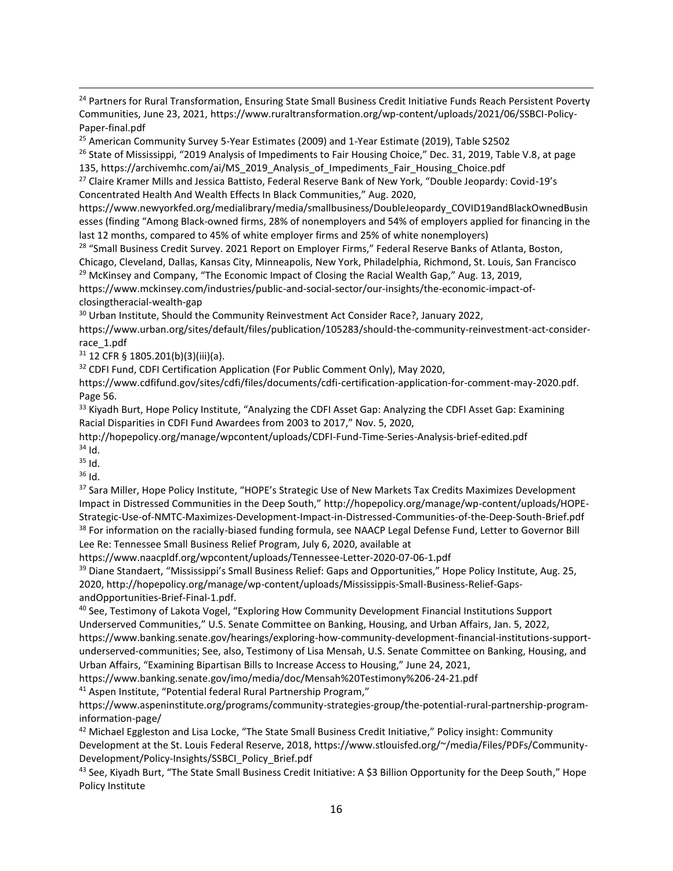<sup>24</sup> Partners for Rural Transformation, Ensuring State Small Business Credit Initiative Funds Reach Persistent Poverty Communities, June 23, 2021, https://www.ruraltransformation.org/wp-content/uploads/2021/06/SSBCI-Policy-Paper-final.pdf

<sup>25</sup> American Community Survey 5-Year Estimates (2009) and 1-Year Estimate (2019), Table S2502

<sup>26</sup> State of Mississippi, "2019 Analysis of Impediments to Fair Housing Choice," Dec. 31, 2019, Table V.8, at page 135, https://archivemhc.com/ai/MS\_2019\_Analysis\_of\_Impediments\_Fair\_Housing\_Choice.pdf

<sup>27</sup> Claire Kramer Mills and Jessica Battisto, Federal Reserve Bank of New York, "Double Jeopardy: Covid-19's Concentrated Health And Wealth Effects In Black Communities," Aug. 2020,

https://www.newyorkfed.org/medialibrary/media/smallbusiness/DoubleJeopardy\_COVID19andBlackOwnedBusin esses (finding "Among Black-owned firms, 28% of nonemployers and 54% of employers applied for financing in the last 12 months, compared to 45% of white employer firms and 25% of white nonemployers)

<sup>28</sup> "Small Business Credit Survey. 2021 Report on Employer Firms," Federal Reserve Banks of Atlanta, Boston, Chicago, Cleveland, Dallas, Kansas City, Minneapolis, New York, Philadelphia, Richmond, St. Louis, San Francisco <sup>29</sup> McKinsey and Company, "The Economic Impact of Closing the Racial Wealth Gap," Aug. 13, 2019,

https://www.mckinsey.com/industries/public-and-social-sector/our-insights/the-economic-impact-ofclosingtheracial-wealth-gap

<sup>30</sup> Urban Institute, Should the Community Reinvestment Act Consider Race?, January 2022,

https://www.urban.org/sites/default/files/publication/105283/should-the-community-reinvestment-act-considerrace\_1.pdf

 $31$  12 CFR § 1805.201(b)(3)(iii)(a).

<sup>32</sup> CDFI Fund, CDFI Certification Application (For Public Comment Only), May 2020,

https://www.cdfifund.gov/sites/cdfi/files/documents/cdfi-certification-application-for-comment-may-2020.pdf. Page 56.

<sup>33</sup> Kiyadh Burt, Hope Policy Institute, "Analyzing the CDFI Asset Gap: Analyzing the CDFI Asset Gap: Examining Racial Disparities in CDFI Fund Awardees from 2003 to 2017," Nov. 5, 2020,

http://hopepolicy.org/manage/wpcontent/uploads/CDFI-Fund-Time-Series-Analysis-brief-edited.pdf  $34$  Id.

<sup>35</sup> Id.

 $\overline{a}$ 

 $36$  Id.

<sup>37</sup> Sara Miller, Hope Policy Institute, "HOPE's Strategic Use of New Markets Tax Credits Maximizes Development Impact in Distressed Communities in the Deep South," http://hopepolicy.org/manage/wp-content/uploads/HOPE-Strategic-Use-of-NMTC-Maximizes-Development-Impact-in-Distressed-Communities-of-the-Deep-South-Brief.pdf <sup>38</sup> For information on the racially-biased funding formula, see NAACP Legal Defense Fund, Letter to Governor Bill Lee Re: Tennessee Small Business Relief Program, July 6, 2020, available at

https://www.naacpldf.org/wpcontent/uploads/Tennessee-Letter-2020-07-06-1.pdf

<sup>39</sup> Diane Standaert, "Mississippi's Small Business Relief: Gaps and Opportunities," Hope Policy Institute, Aug. 25, 2020, http://hopepolicy.org/manage/wp-content/uploads/Mississippis-Small-Business-Relief-GapsandOpportunities-Brief-Final-1.pdf.

<sup>40</sup> See, Testimony of Lakota Vogel, "Exploring How Community Development Financial Institutions Support Underserved Communities," U.S. Senate Committee on Banking, Housing, and Urban Affairs, Jan. 5, 2022, https://www.banking.senate.gov/hearings/exploring-how-community-development-financial-institutions-supportunderserved-communities; See, also, Testimony of Lisa Mensah, U.S. Senate Committee on Banking, Housing, and Urban Affairs, "Examining Bipartisan Bills to Increase Access to Housing," June 24, 2021,

https://www.banking.senate.gov/imo/media/doc/Mensah%20Testimony%206-24-21.pdf

<sup>41</sup> Aspen Institute, "Potential federal Rural Partnership Program,"

https://www.aspeninstitute.org/programs/community-strategies-group/the-potential-rural-partnership-programinformation-page/

<sup>42</sup> Michael Eggleston and Lisa Locke, "The State Small Business Credit Initiative," Policy insight: Community Development at the St. Louis Federal Reserve, 2018, https://www.stlouisfed.org/~/media/Files/PDFs/Community-Development/Policy-Insights/SSBCI\_Policy\_Brief.pdf

<sup>43</sup> See, Kiyadh Burt, "The State Small Business Credit Initiative: A \$3 Billion Opportunity for the Deep South," Hope Policy Institute